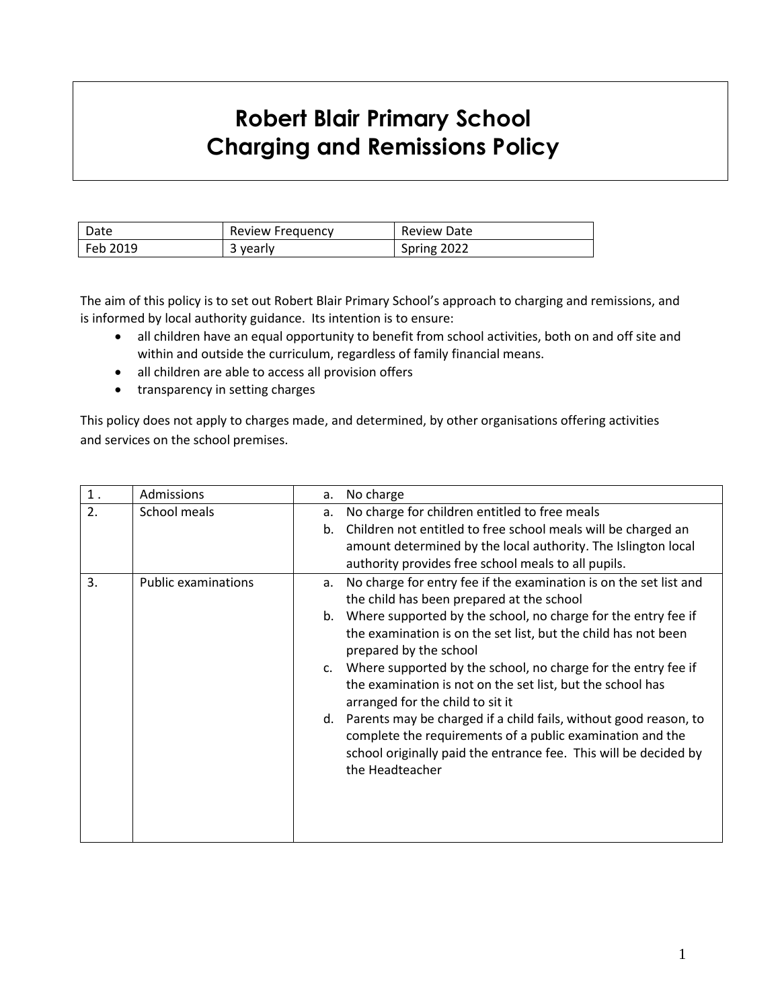## **Robert Blair Primary School Charging and Remissions Policy**

| Date     | <b>Review Frequency</b> | Review Date |
|----------|-------------------------|-------------|
| Feb 2019 | 3 yearly                | Spring 2022 |

The aim of this policy is to set out Robert Blair Primary School's approach to charging and remissions, and is informed by local authority guidance. Its intention is to ensure:

- all children have an equal opportunity to benefit from school activities, both on and off site and within and outside the curriculum, regardless of family financial means.
- all children are able to access all provision offers
- transparency in setting charges

This policy does not apply to charges made, and determined, by other organisations offering activities and services on the school premises.

| $1$ . | Admissions                 | а.       | No charge                                                                                                                                                                                                                                                                                                                                                                                                                                                                                                                                                                                                                                                                       |
|-------|----------------------------|----------|---------------------------------------------------------------------------------------------------------------------------------------------------------------------------------------------------------------------------------------------------------------------------------------------------------------------------------------------------------------------------------------------------------------------------------------------------------------------------------------------------------------------------------------------------------------------------------------------------------------------------------------------------------------------------------|
| 2.    | School meals               | a.<br>b. | No charge for children entitled to free meals<br>Children not entitled to free school meals will be charged an<br>amount determined by the local authority. The Islington local<br>authority provides free school meals to all pupils.                                                                                                                                                                                                                                                                                                                                                                                                                                          |
| 3.    | <b>Public examinations</b> | а.       | No charge for entry fee if the examination is on the set list and<br>the child has been prepared at the school<br>b. Where supported by the school, no charge for the entry fee if<br>the examination is on the set list, but the child has not been<br>prepared by the school<br>c. Where supported by the school, no charge for the entry fee if<br>the examination is not on the set list, but the school has<br>arranged for the child to sit it<br>d. Parents may be charged if a child fails, without good reason, to<br>complete the requirements of a public examination and the<br>school originally paid the entrance fee. This will be decided by<br>the Headteacher |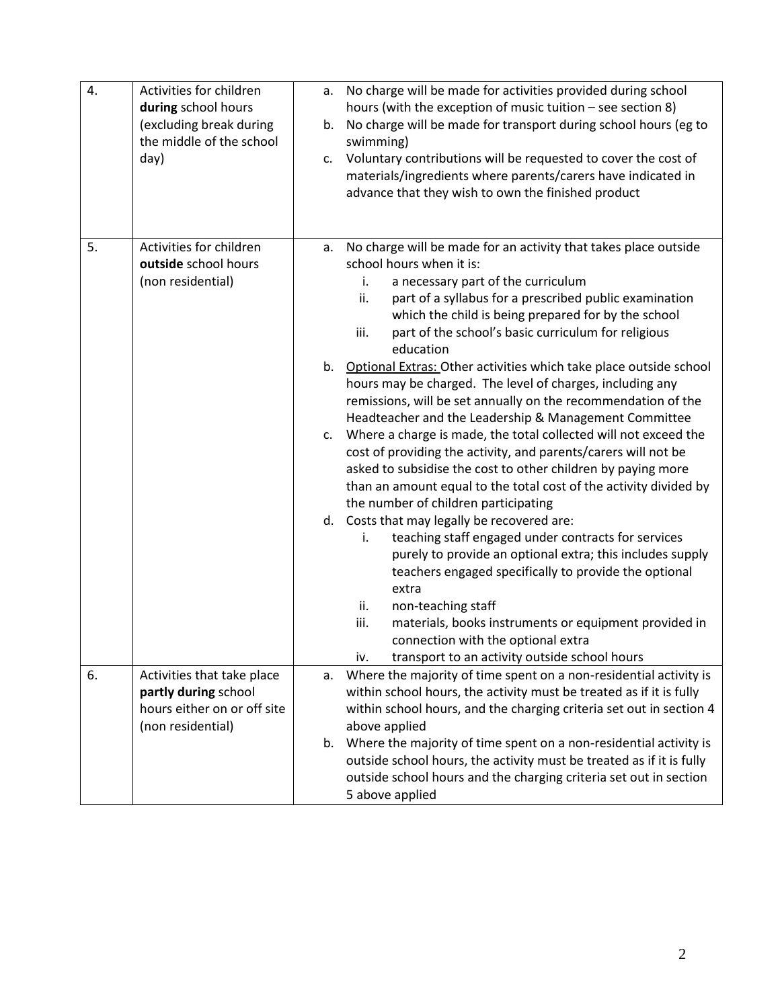| 4. | Activities for children<br>during school hours<br>(excluding break during<br>the middle of the school<br>day) | No charge will be made for activities provided during school<br>a.<br>hours (with the exception of music tuition $-$ see section 8)<br>No charge will be made for transport during school hours (eg to<br>b.<br>swimming)<br>c. Voluntary contributions will be requested to cover the cost of<br>materials/ingredients where parents/carers have indicated in<br>advance that they wish to own the finished product                                                                                                                                                                                                                                                                                                                                                                                                                                                                                                                                                                                                                                                                                                                                                                                                                                                                                                                                                            |
|----|---------------------------------------------------------------------------------------------------------------|---------------------------------------------------------------------------------------------------------------------------------------------------------------------------------------------------------------------------------------------------------------------------------------------------------------------------------------------------------------------------------------------------------------------------------------------------------------------------------------------------------------------------------------------------------------------------------------------------------------------------------------------------------------------------------------------------------------------------------------------------------------------------------------------------------------------------------------------------------------------------------------------------------------------------------------------------------------------------------------------------------------------------------------------------------------------------------------------------------------------------------------------------------------------------------------------------------------------------------------------------------------------------------------------------------------------------------------------------------------------------------|
| 5. | Activities for children<br>outside school hours<br>(non residential)                                          | No charge will be made for an activity that takes place outside<br>a.<br>school hours when it is:<br>a necessary part of the curriculum<br>i.<br>ii.<br>part of a syllabus for a prescribed public examination<br>which the child is being prepared for by the school<br>part of the school's basic curriculum for religious<br>iii.<br>education<br>b. Optional Extras: Other activities which take place outside school<br>hours may be charged. The level of charges, including any<br>remissions, will be set annually on the recommendation of the<br>Headteacher and the Leadership & Management Committee<br>Where a charge is made, the total collected will not exceed the<br>c.<br>cost of providing the activity, and parents/carers will not be<br>asked to subsidise the cost to other children by paying more<br>than an amount equal to the total cost of the activity divided by<br>the number of children participating<br>d. Costs that may legally be recovered are:<br>teaching staff engaged under contracts for services<br>i.<br>purely to provide an optional extra; this includes supply<br>teachers engaged specifically to provide the optional<br>extra<br>ii.<br>non-teaching staff<br>iii.<br>materials, books instruments or equipment provided in<br>connection with the optional extra<br>transport to an activity outside school hours<br>iv. |
| 6. | Activities that take place<br>partly during school<br>hours either on or off site<br>(non residential)        | Where the majority of time spent on a non-residential activity is<br>a.<br>within school hours, the activity must be treated as if it is fully<br>within school hours, and the charging criteria set out in section 4<br>above applied                                                                                                                                                                                                                                                                                                                                                                                                                                                                                                                                                                                                                                                                                                                                                                                                                                                                                                                                                                                                                                                                                                                                          |
|    |                                                                                                               | b. Where the majority of time spent on a non-residential activity is<br>outside school hours, the activity must be treated as if it is fully<br>outside school hours and the charging criteria set out in section<br>5 above applied                                                                                                                                                                                                                                                                                                                                                                                                                                                                                                                                                                                                                                                                                                                                                                                                                                                                                                                                                                                                                                                                                                                                            |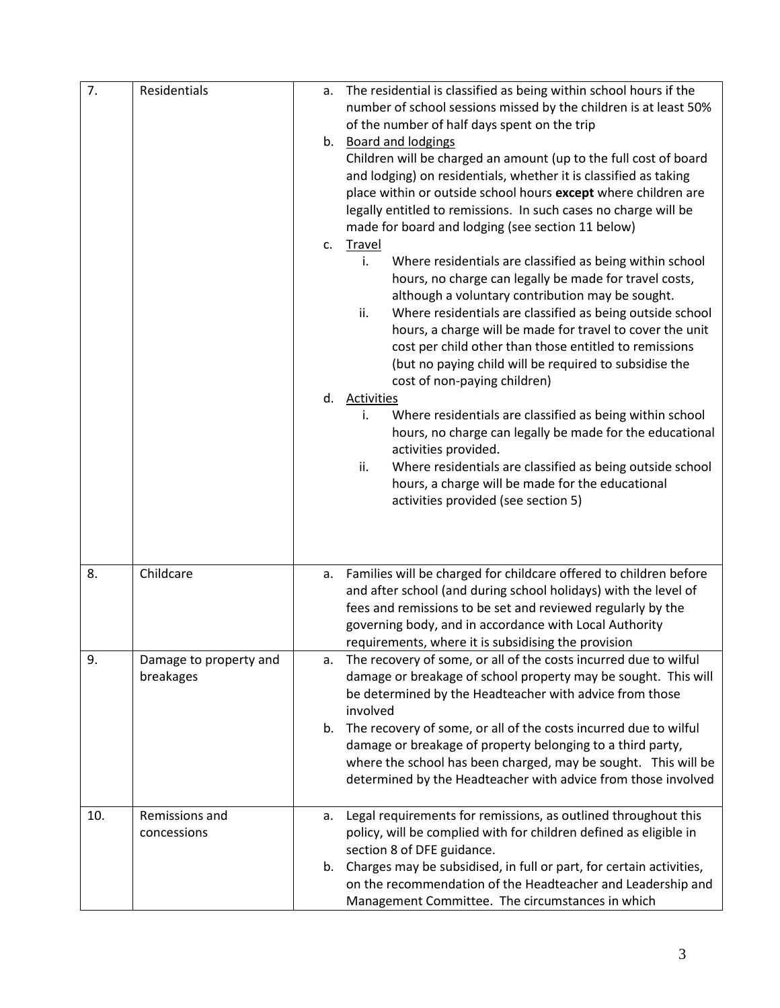| 7.  | Residentials           | а. | The residential is classified as being within school hours if the      |
|-----|------------------------|----|------------------------------------------------------------------------|
|     |                        |    | number of school sessions missed by the children is at least 50%       |
|     |                        |    | of the number of half days spent on the trip                           |
|     |                        |    | b. Board and lodgings                                                  |
|     |                        |    | Children will be charged an amount (up to the full cost of board       |
|     |                        |    | and lodging) on residentials, whether it is classified as taking       |
|     |                        |    | place within or outside school hours except where children are         |
|     |                        |    | legally entitled to remissions. In such cases no charge will be        |
|     |                        |    | made for board and lodging (see section 11 below)                      |
|     |                        | c. | <b>Travel</b>                                                          |
|     |                        |    | i.<br>Where residentials are classified as being within school         |
|     |                        |    | hours, no charge can legally be made for travel costs,                 |
|     |                        |    | although a voluntary contribution may be sought.                       |
|     |                        |    | ii.<br>Where residentials are classified as being outside school       |
|     |                        |    | hours, a charge will be made for travel to cover the unit              |
|     |                        |    | cost per child other than those entitled to remissions                 |
|     |                        |    | (but no paying child will be required to subsidise the                 |
|     |                        |    | cost of non-paying children)                                           |
|     |                        | d. | <b>Activities</b>                                                      |
|     |                        |    | Where residentials are classified as being within school<br>i.         |
|     |                        |    | hours, no charge can legally be made for the educational               |
|     |                        |    | activities provided.                                                   |
|     |                        |    | ii.<br>Where residentials are classified as being outside school       |
|     |                        |    | hours, a charge will be made for the educational                       |
|     |                        |    | activities provided (see section 5)                                    |
|     |                        |    |                                                                        |
|     |                        |    |                                                                        |
|     |                        |    |                                                                        |
| 8.  | Childcare              | а. | Families will be charged for childcare offered to children before      |
|     |                        |    | and after school (and during school holidays) with the level of        |
|     |                        |    | fees and remissions to be set and reviewed regularly by the            |
|     |                        |    | governing body, and in accordance with Local Authority                 |
|     |                        |    | requirements, where it is subsidising the provision                    |
| 9.  | Damage to property and | a. | The recovery of some, or all of the costs incurred due to wilful       |
|     | breakages              |    | damage or breakage of school property may be sought. This will         |
|     |                        |    | be determined by the Headteacher with advice from those                |
|     |                        |    | involved                                                               |
|     |                        | b. | The recovery of some, or all of the costs incurred due to wilful       |
|     |                        |    | damage or breakage of property belonging to a third party,             |
|     |                        |    | where the school has been charged, may be sought. This will be         |
|     |                        |    | determined by the Headteacher with advice from those involved          |
| 10. | Remissions and         |    | Legal requirements for remissions, as outlined throughout this         |
|     | concessions            | а. | policy, will be complied with for children defined as eligible in      |
|     |                        |    | section 8 of DFE guidance.                                             |
|     |                        |    | b. Charges may be subsidised, in full or part, for certain activities, |
|     |                        |    | on the recommendation of the Headteacher and Leadership and            |
|     |                        |    |                                                                        |
|     |                        |    | Management Committee. The circumstances in which                       |